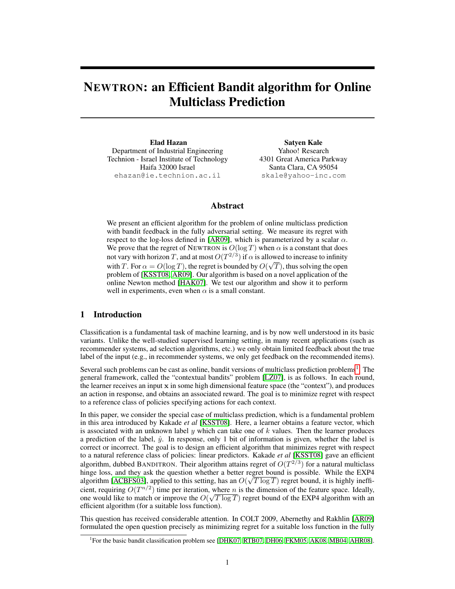# NEWTRON: an Efficient Bandit algorithm for Online Multiclass Prediction

Elad Hazan Department of Industrial Engineering Technion - Israel Institute of Technology Haifa 32000 Israel ehazan@ie.technion.ac.il

Satyen Kale Yahoo! Research 4301 Great America Parkway Santa Clara, CA 95054 skale@yahoo-inc.com

## Abstract

We present an efficient algorithm for the problem of online multiclass prediction with bandit feedback in the fully adversarial setting. We measure its regret with respect to the log-loss defined in [AR09], which is parameterized by a scalar  $\alpha$ . We prove that the regret of NEWTRON is  $O(\log T)$  when  $\alpha$  is a constant that does not vary with horizon T, and at most  $O(T^{2/3})$  if  $\alpha$  is allowed to increase to infinity with T. For  $\alpha = O(\log T)$ , the regret is bounded by  $O(\sqrt{T})$ , thus solving the open problem of [KSST08, AR09]. Our algorithm is based on a novel application of the online Newton method [HAK07]. We test our algorithm and show it to perform well in experiments, even when  $\alpha$  is a small constant.

## 1 Introduction

Classification is a fundamental task of machine learning, and is by now well understood in its basic variants. Unlike the well-studied supervised learning setting, in many recent applications (such as recommender systems, ad selection algorithms, etc.) we only obtain limited feedback about the true label of the input (e.g., in recommender systems, we only get feedback on the recommended items).

Several such problems can be cast as online, bandit versions of multiclass prediction problems<sup>1</sup>. The general framework, called the "contextual bandits" problem [LZ07], is as follows. In each round, the learner receives an input x in some high dimensional feature space (the "context"), and produces an action in response, and obtains an associated reward. The goal is to minimize regret with respect to a reference class of policies specifying actions for each context.

In this paper, we consider the special case of multiclass prediction, which is a fundamental problem in this area introduced by Kakade *et al* [KSST08]. Here, a learner obtains a feature vector, which is associated with an unknown label y which can take one of  $k$  values. Then the learner produces a prediction of the label,  $\hat{y}$ . In response, only 1 bit of information is given, whether the label is correct or incorrect. The goal is to design an efficient algorithm that minimizes regret with respect to a natural reference class of policies: linear predictors. Kakade *et al* [KSST08] gave an efficient algorithm, dubbed BANDITRON. Their algorithm attains regret of  $O(T^{2/3})$  for a natural multiclass hinge loss, and they ask the question whether a better regret bound is possible. While the EXP4 algorithm [ACBFS03], applied to this setting, has an  $O(\sqrt{T \log T})$  regret bound, it is highly inefficient, requiring  $O(T^{n/2})$  time per iteration, where *n* is the dimension of the feature space. Ideally, one would like to match or improve the  $O(\sqrt{T \log T})$  regret bound of the EXP4 algorithm with an efficient algorithm (for a suitable loss function).

This question has received considerable attention. In COLT 2009, Abernethy and Rakhlin [AR09] formulated the open question precisely as minimizing regret for a suitable loss function in the fully

<sup>&</sup>lt;sup>1</sup>For the basic bandit classification problem see [DHK07, RTB07, DH06, FKM05, AK08, MB04, AHR08].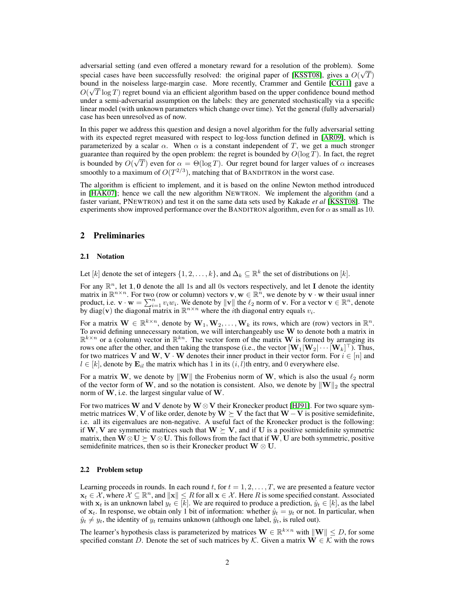adversarial setting (and even offered a monetary reward for a resolution of the problem). Some special cases have been successfully resolved: the original paper of [KSST08], gives a  $O(\sqrt{T})$ bound in the noiseless large-margin case. More recently, Crammer and Gentile [CG11] gave a  $\sim$   $\sqrt{2}$  $O(\sqrt{T \log T})$  regret bound via an efficient algorithm based on the upper confidence bound method under a semi-adversarial assumption on the labels: they are generated stochastically via a specific linear model (with unknown parameters which change over time). Yet the general (fully adversarial) case has been unresolved as of now.

In this paper we address this question and design a novel algorithm for the fully adversarial setting with its expected regret measured with respect to log-loss function defined in [AR09], which is parameterized by a scalar  $\alpha$ . When  $\alpha$  is a constant independent of T, we get a much stronger guarantee than required by the open problem: the regret is bounded by  $O(\log T)$ . In fact, the regret is bounded by  $O(\sqrt{T})$  even for  $\alpha = \Theta(\log T)$ . Our regret bound for larger values of  $\alpha$  increases smoothly to a maximum of  $O(T^{2/3})$ , matching that of BANDITRON in the worst case.

The algorithm is efficient to implement, and it is based on the online Newton method introduced in [HAK07]; hence we call the new algorithm NEWTRON. We implement the algorithm (and a faster variant, PNEWTRON) and test it on the same data sets used by Kakade *et al* [KSST08]. The experiments show improved performance over the BANDITRON algorithm, even for  $\alpha$  as small as 10.

## 2 Preliminaries

#### 2.1 Notation

Let [k] denote the set of integers  $\{1, 2, \ldots, k\}$ , and  $\Delta_k \subseteq \mathbb{R}^k$  the set of distributions on [k].

For any  $\mathbb{R}^n$ , let 1,0 denote the all 1s and all 0s vectors respectively, and let I denote the identity matrix in  $\mathbb{R}^{n \times n}$ . For two (row or column) vectors  $v, w \in \mathbb{R}^n$ , we denote by  $v \cdot w$  their usual inner product, i.e.  $\mathbf{v} \cdot \mathbf{w} = \sum_{i=1}^{n} v_i w_i$ . We denote by  $\|\mathbf{v}\|$  the  $\ell_2$  norm of  $\mathbf{v}$ . For a vector  $\mathbf{v} \in \mathbb{R}^n$ , denote by diag(v) the diagonal matrix in  $\mathbb{R}^{n \times n}$  where the *i*th diagonal entry equals  $v_i$ .

For a matrix  $\mathbf{W} \in \mathbb{R}^{k \times n}$ , denote by  $\mathbf{W}_1, \mathbf{W}_2, \dots, \mathbf{W}_k$  its rows, which are (row) vectors in  $\mathbb{R}^n$ . To avoid defining unnecessary notation, we will interchangeably use W to denote both a matrix in  $\mathbb{R}^{k \times n}$  or a (column) vector in  $\mathbb{R}^{kn}$ . The vector form of the matrix **W** is formed by arranging its rows one after the other, and then taking the transpose (i.e., the vector  $[\mathbf{W}_1|\mathbf{W}_2|\cdots|\mathbf{W}_k]^{\top}$ ). Thus, for two matrices V and W, V · W denotes their inner product in their vector form. For  $i \in [n]$  and  $l \in [k]$ , denote by  $\mathbf{E}_{il}$  the matrix which has 1 in its  $(i, l)$ th entry, and 0 everywhere else.

For a matrix W, we denote by  $\|\mathbf{W}\|$  the Frobenius norm of W, which is also the usual  $\ell_2$  norm of the vector form of W, and so the notation is consistent. Also, we denote by  $\|\mathbf{W}\|_2$  the spectral norm of W, i.e. the largest singular value of W.

For two matrices W and V denote by W  $\otimes$  V their Kronecker product [HJ91]. For two square symmetric matrices W, V of like order, denote by W  $\succeq$  V the fact that W  $-V$  is positive semidefinite, i.e. all its eigenvalues are non-negative. A useful fact of the Kronecker product is the following: if W, V are symmetric matrices such that  $W \succeq V$ , and if U is a positive semidefinite symmetric matrix, then  $W \otimes U \succeq V \otimes U$ . This follows from the fact that if W, U are both symmetric, positive semidefinite matrices, then so is their Kronecker product  $W \otimes U$ .

#### 2.2 Problem setup

Learning proceeds in rounds. In each round t, for  $t = 1, 2, \ldots, T$ , we are presented a feature vector  $\mathbf{x}_t \in \mathcal{X}$ , where  $\mathcal{X} \subseteq \mathbb{R}^n$ , and  $\|\mathbf{x}\| \leq R$  for all  $\mathbf{x} \in \mathcal{X}$ . Here R is some specified constant. Associated with  $x_t$  is an unknown label  $y_t \in [k]$ . We are required to produce a prediction,  $\hat{y}_t \in [k]$ , as the label of  $x_t$ . In response, we obtain only 1 bit of information: whether  $\hat{y}_t = y_t$  or not. In particular, when  $\hat{y}_t \neq y_t$ , the identity of  $y_t$  remains unknown (although one label,  $\hat{y}_t$ , is ruled out).

The learner's hypothesis class is parameterized by matrices  $\mathbf{W} \in \mathbb{R}^{k \times n}$  with  $\|\mathbf{W}\| \leq D$ , for some specified constant D. Denote the set of such matrices by K. Given a matrix  $\mathbf{W} \in \mathcal{K}$  with the rows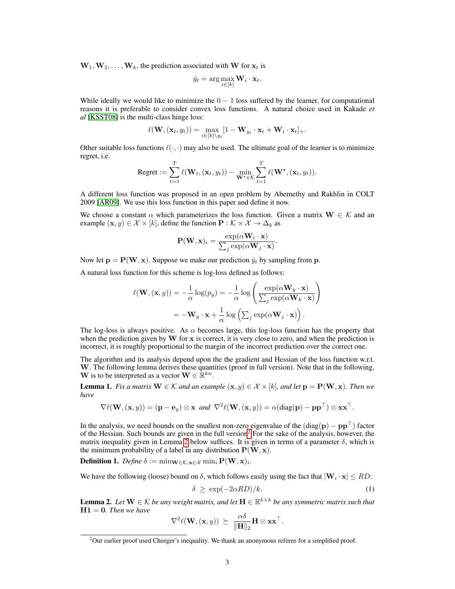$W_1, W_2, \ldots, W_k$ , the prediction associated with W for  $x_t$  is

$$
\hat{y}_t = \arg\max_{i \in [k]} \mathbf{W}_i \cdot \mathbf{x}_t.
$$

While ideally we would like to minimize the  $0 - 1$  loss suffered by the learner, for computational reasons it is preferable to consider convex loss functions. A natural choice used in Kakade *et al* [KSST08] is the multi-class hinge loss:

$$
\ell(\mathbf{W},(\mathbf{x}_t,y_t)) = \max_{i \in [k] \setminus y_t} [1 - \mathbf{W}_{y_t} \cdot \mathbf{x}_t + \mathbf{W}_i \cdot \mathbf{x}_t]_+.
$$

Other suitable loss functions  $\ell(\cdot, \cdot)$  may also be used. The ultimate goal of the learner is to minimize regret, i.e.

Regret := 
$$
\sum_{t=1}^{T} \ell(\mathbf{W}_t, (\mathbf{x}_t, y_t)) - \min_{\mathbf{W}^{\star} \in \mathcal{K}} \sum_{t=1}^{T} \ell(\mathbf{W}^{\star}, (\mathbf{x}_t, y_t)).
$$

A different loss function was proposed in an open problem by Abernethy and Rakhlin in COLT 2009 [AR09]. We use this loss function in this paper and define it now.

We choose a constant  $\alpha$  which parameterizes the loss function. Given a matrix  $\mathbf{W} \in \mathcal{K}$  and an example  $(\mathbf{x}, y) \in \mathcal{X} \times [k]$ , define the function  $\mathbf{P} : \mathcal{K} \times \mathcal{X} \to \Delta_k$  as

$$
\mathbf{P}(\mathbf{W}, \mathbf{x})_i = \frac{\exp(\alpha \mathbf{W}_i \cdot \mathbf{x})}{\sum_j \exp(\alpha \mathbf{W}_j \cdot \mathbf{x})}.
$$

Now let  $p = P(W, x)$ . Suppose we make our prediction  $\hat{y}_t$  by sampling from p.

A natural loss function for this scheme is log-loss defined as follows:

$$
\ell(\mathbf{W}, (\mathbf{x}, y)) = -\frac{1}{\alpha} \log(p_y) = -\frac{1}{\alpha} \log \left( \frac{\exp(\alpha \mathbf{W}_y \cdot \mathbf{x})}{\sum_j \exp(\alpha \mathbf{W}_k \cdot \mathbf{x})} \right)
$$

$$
= -\mathbf{W}_y \cdot \mathbf{x} + \frac{1}{\alpha} \log \left( \sum_j \exp(\alpha \mathbf{W}_j \cdot \mathbf{x}) \right).
$$

The log-loss is always positive. As  $\alpha$  becomes large, this log-loss function has the property that when the prediction given by  $W$  for  $x$  is correct, it is very close to zero, and when the prediction is incorrect, it is roughly proportional to the margin of the incorrect prediction over the correct one.

The algorithm and its analysis depend upon the the gradient and Hessian of the loss function w.r.t. W. The following lemma derives these quantities (proof in full version). Note that in the following, W is to be interpreted as a vector  $\mathbf{W} \in \mathbb{R}^{kn}$ .

**Lemma 1.** *Fix a matrix*  $W \in \mathcal{K}$  *and an example*  $(x, y) \in \mathcal{X} \times [k]$ *, and let*  $p = P(W, x)$ *. Then we have*

$$
\nabla \ell(\mathbf{W}, (\mathbf{x}, y)) = (\mathbf{p} - \mathbf{e}_y) \otimes \mathbf{x} \ \text{and} \ \nabla^2 \ell(\mathbf{W}, (\mathbf{x}, y)) = \alpha(\text{diag}(\mathbf{p}) - \mathbf{p}\mathbf{p}^\top) \otimes \mathbf{x}\mathbf{x}^\top.
$$

In the analysis, we need bounds on the smallest non-zero eigenvalue of the  $(\text{diag}(\mathbf{p}) - \mathbf{p}\mathbf{p}^{\top})$  factor of the Hessian. Such bounds are given in the full version<sup>2</sup> For the sake of the analysis, however, the matrix inequality given in Lemma 2 below suffices. It is given in terms of a parameter  $\delta$ , which is the minimum probability of a label in any distribution  $P(\mathbf{W}, \mathbf{x})$ .

**Definition 1.** Define  $\delta := \min_{\mathbf{W} \in \mathcal{K}, \mathbf{x} \in \mathcal{X}} \min_i \mathbf{P}(\mathbf{W}, \mathbf{x})_i$ .

We have the following (loose) bound on  $\delta$ , which follows easily using the fact that  $|\mathbf{W}_i \cdot \mathbf{x}| \leq RD$ :

$$
\delta \ge \exp(-2\alpha RD)/k. \tag{1}
$$

**Lemma 2.** Let  $W \in \mathcal{K}$  be any weight matrix, and let  $H \in \mathbb{R}^{k \times k}$  be any symmetric matrix such that H1 = 0*. Then we have*

$$
\nabla^2 \ell(\mathbf{W}, (\mathbf{x}, y)) \ \succeq \ \frac{\alpha \delta}{\|\mathbf{H}\|_2} \mathbf{H} \otimes \mathbf{x} \mathbf{x}^{\top}.
$$

<sup>&</sup>lt;sup>2</sup>Our earlier proof used Cheeger's inequality. We thank an anonymous referee for a simplified proof.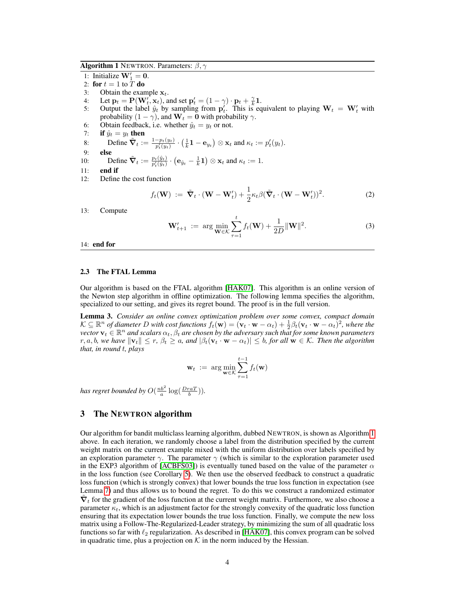**Algorithm 1** NEWTRON. Parameters:  $\beta$ ,  $\gamma$ 

- 1: Initialize  $W'_1 = 0$ .
- 2: for  $t = 1$  to T do
- 3: Obtain the example  $x_t$ .
- 4: Let  $\mathbf{p}_t = \mathbf{P}(\mathbf{W}'_t, \mathbf{x}_t)$ , and set  $\mathbf{p}'_t = (1 \gamma) \cdot \mathbf{p}_t + \frac{\gamma}{k} \mathbf{1}$ .
- 5: Output the label  $\hat{y}_t$  by sampling from  $\mathbf{p}'_t$ . This is equivalent to playing  $\mathbf{W}_t = \mathbf{W}'_t$  with probability  $(1 - \gamma)$ , and  $W_t = 0$  with probability  $\gamma$ .
- 6: Obtain feedback, i.e. whether  $\hat{y}_t = y_t$  or not.
- 7: if  $\hat{y}_t = y_t$  then
- 8: Define  $\tilde{\nabla}_t := \frac{1-p_t(y_t)}{p_t'(y_t)} \cdot \left(\frac{1}{k} \mathbf{1} \mathbf{e}_{y_t}\right) \otimes \mathbf{x}_t$  and  $\kappa_t := p_t'(y_t)$ .
- 9: else
- 10: Define  $\tilde{\nabla}_t := \frac{p_t(\hat{y}_t)}{p_t'(\hat{y}_t)} \cdot (\mathbf{e}_{\hat{y}_t} \frac{1}{k}\mathbf{1}) \otimes \mathbf{x}_t$  and  $\kappa_t := 1$ .
- 11: end if
- 12: Define the cost function

$$
f_t(\mathbf{W}) := \tilde{\boldsymbol{\nabla}}_t \cdot (\mathbf{W} - \mathbf{W}'_t) + \frac{1}{2} \kappa_t \beta (\tilde{\boldsymbol{\nabla}}_t \cdot (\mathbf{W} - \mathbf{W}'_t))^2.
$$
 (2)

13: Compute

$$
\mathbf{W}'_{t+1} := \arg \min_{\mathbf{W} \in \mathcal{K}} \sum_{\tau=1}^{t} f_t(\mathbf{W}) + \frac{1}{2D} ||\mathbf{W}||^2.
$$
 (3)

#### 14: end for

#### 2.3 The FTAL Lemma

Our algorithm is based on the FTAL algorithm [HAK07]. This algorithm is an online version of the Newton step algorithm in offline optimization. The following lemma specifies the algorithm, specialized to our setting, and gives its regret bound. The proof is in the full version.

Lemma 3. *Consider an online convex optimization problem over some convex, compact domain*  $\mathcal{K} \subseteq \mathbb{R}^n$  of diameter D with cost functions  $f_t(\mathbf{w}) = (\mathbf{v}_t \cdot \mathbf{w} - \alpha_t) + \frac{1}{2} \beta_t (\mathbf{v}_t \cdot \mathbf{w} - \alpha_t)^2$ , where the  $\vec{v}$  vector  $\mathbf{v}_t \in \mathbb{R}^n$  *and scalars*  $\alpha_t, \beta_t$  *are chosen by the adversary such that for some known parameters* r, a, b, we have  $\|\mathbf{v}_t\| \le r$ ,  $\beta_t \ge a$ , and  $|\beta_t(\mathbf{v}_t \cdot \mathbf{w} - \alpha_t)| \le b$ , for all  $\mathbf{w} \in \mathcal{K}$ . Then the algorithm *that, in round* t*, plays*

$$
\mathbf{w}_t := \arg\min_{\mathbf{w} \in \mathcal{K}} \sum_{\tau=1}^{t-1} f_t(\mathbf{w})
$$

*has regret bounded by*  $O(\frac{nb^2}{a} \log(\frac{DraT}{b}))$ *.* 

### 3 The NEWTRON algorithm

Our algorithm for bandit multiclass learning algorithm, dubbed NEWTRON, is shown as Algorithm 1 above. In each iteration, we randomly choose a label from the distribution specified by the current weight matrix on the current example mixed with the uniform distribution over labels specified by an exploration parameter  $\gamma$ . The parameter  $\gamma$  (which is similar to the exploration parameter used in the EXP3 algorithm of [ACBFS03]) is eventually tuned based on the value of the parameter  $\alpha$ in the loss function (see Corollary 5). We then use the observed feedback to construct a quadratic loss function (which is strongly convex) that lower bounds the true loss function in expectation (see Lemma 7) and thus allows us to bound the regret. To do this we construct a randomized estimator  $\tilde{\nabla}_t$  for the gradient of the loss function at the current weight matrix. Furthermore, we also choose a parameter  $\kappa_t$ , which is an adjustment factor for the strongly convexity of the quadratic loss function ensuring that its expectation lower bounds the true loss function. Finally, we compute the new loss matrix using a Follow-The-Regularized-Leader strategy, by minimizing the sum of all quadratic loss functions so far with  $\ell_2$  regularization. As described in [HAK07], this convex program can be solved in quadratic time, plus a projection on  $K$  in the norm induced by the Hessian.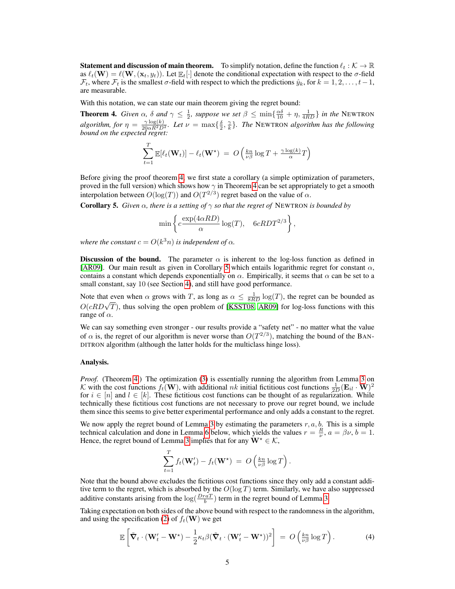**Statement and discussion of main theorem.** To simplify notation, define the function  $\ell_t : \mathcal{K} \to \mathbb{R}$ as  $\ell_t(\mathbf{W}) = \ell(\mathbf{W}, (\mathbf{x}_t, y_t)).$  Let  $\mathbb{E}_t[\cdot]$  denote the conditional expectation with respect to the  $\sigma$ -field  $\mathcal{F}_t$ , where  $\mathcal{F}_t$  is the smallest  $\sigma$ -field with respect to which the predictions  $\hat{y}_k$ , for  $k = 1, 2, \ldots, t-1$ , are measurable.

With this notation, we can state our main theorem giving the regret bound:

**Theorem 4.** *Given*  $\alpha$ ,  $\delta$  *and*  $\gamma \leq \frac{1}{2}$ *, suppose we set*  $\beta \leq \min\{\frac{\alpha\delta}{10} + \eta, \frac{1}{4RD}\}\$  *in the* NEWTRON *algorithm, for*  $\eta = \frac{\gamma \log(k)}{20 \alpha R^2 D^2}$ *. Let*  $\nu = \max\{\frac{\delta}{2}, \frac{\gamma}{k}\}\$ *. The* NEWTRON *algorithm has the following bound on the expected regret:*

$$
\sum_{t=1}^{T} \mathbb{E}[\ell_t(\mathbf{W}_t)] - \ell_t(\mathbf{W}^*) = O\left(\frac{kn}{\nu \beta} \log T + \frac{\gamma \log(k)}{\alpha} T\right)
$$

Before giving the proof theorem 4, we first state a corollary (a simple optimization of parameters, proved in the full version) which shows how  $\gamma$  in Theorem 4 can be set appropriately to get a smooth interpolation between  $O(\log(T))$  and  $O(T^{2/3})$  regret based on the value of  $\alpha$ .

**Corollary 5.** *Given*  $\alpha$ *, there is a setting of*  $\gamma$  *so that the regret of* NEWTRON *is bounded by* 

$$
\min \left\{ c \frac{\exp(4\alpha RD)}{\alpha} \log(T), \quad 6cRDT^{2/3} \right\},\
$$

*where the constant*  $c = O(k^3 n)$  *is independent of*  $\alpha$ *.* 

Discussion of the bound. The parameter  $\alpha$  is inherent to the log-loss function as defined in [AR09]. Our main result as given in Corollary 5 which entails logarithmic regret for constant  $\alpha$ , contains a constant which depends exponentially on  $\alpha$ . Empirically, it seems that  $\alpha$  can be set to a small constant, say 10 (see Section 4), and still have good performance.

Note that even when  $\alpha$  grows with T, as long as  $\alpha \leq \frac{1}{8RD} \log(T)$ , the regret can be bounded as Note that even when  $\alpha$  grows with T, as long as  $\alpha \le \frac{1}{8RD} \log(T)$ , the regret can be bounded as  $O(cRD\sqrt{T})$ , thus solving the open problem of [KSST08, AR09] for log-loss functions with this range of  $\alpha$ .

We can say something even stronger - our results provide a "safety net" - no matter what the value of  $\alpha$  is, the regret of our algorithm is never worse than  $O(T^{2/3})$ , matching the bound of the BAN-DITRON algorithm (although the latter holds for the multiclass hinge loss).

#### Analysis.

*Proof.* (Theorem 4.) The optimization (3) is essentially running the algorithm from Lemma 3 on K with the cost functions  $f_t(\mathbf{W})$ , with additional nk initial fictitious cost functions  $\frac{1}{2D}(\mathbf{E}_{il} \cdot \mathbf{W})^2$ for  $i \in [n]$  and  $l \in [k]$ . These fictitious cost functions can be thought of as regularization. While technically these fictitious cost functions are not necessary to prove our regret bound, we include them since this seems to give better experimental performance and only adds a constant to the regret.

We now apply the regret bound of Lemma 3 by estimating the parameters  $r, a, b$ . This is a simple technical calculation and done in Lemma 6 below, which yields the values  $r = \frac{R}{\nu}$ ,  $a = \beta \nu$ ,  $b = 1$ . Hence, the regret bound of Lemma 3 implies that for any  $W^* \in \mathcal{K}$ ,

$$
\sum_{t=1}^T f_t(\mathbf{W}'_t) - f_t(\mathbf{W}^*) = O\left(\frac{kn}{\nu \beta} \log T\right).
$$

Note that the bound above excludes the fictitious cost functions since they only add a constant additive term to the regret, which is absorbed by the  $O(\log T)$  term. Similarly, we have also suppressed additive constants arising from the  $\log(\frac{DraT}{b})$  term in the regret bound of Lemma 3.

Taking expectation on both sides of the above bound with respect to the randomness in the algorithm, and using the specification (2) of  $f_t(\mathbf{W})$  we get

$$
\mathbb{E}\left[\tilde{\mathbf{\nabla}}_t \cdot (\mathbf{W}'_t - \mathbf{W}^*) - \frac{1}{2}\kappa_t \beta (\tilde{\mathbf{\nabla}}_t \cdot (\mathbf{W}'_t - \mathbf{W}^*))^2\right] = O\left(\frac{kn}{\nu\beta}\log T\right). \tag{4}
$$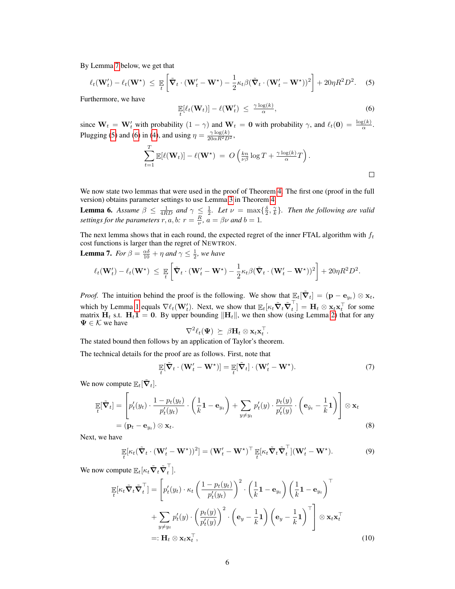By Lemma 7 below, we get that

$$
\ell_t(\mathbf{W}'_t) - \ell_t(\mathbf{W}^*) \leq \mathbb{E}\left[\tilde{\boldsymbol{\nabla}}_t \cdot (\mathbf{W}'_t - \mathbf{W}^*) - \frac{1}{2}\kappa_t\beta(\tilde{\boldsymbol{\nabla}}_t \cdot (\mathbf{W}'_t - \mathbf{W}^*))^2\right] + 20\eta R^2 D^2. \tag{5}
$$

Furthermore, we have

$$
\mathbb{E}_{t}[\ell_t(\mathbf{W}_t)] - \ell(\mathbf{W}'_t) \leq \frac{\gamma \log(k)}{\alpha}, \tag{6}
$$

since  $W_t = W'_t$  with probability  $(1 - \gamma)$  and  $W_t = 0$  with probability  $\gamma$ , and  $\ell_t(0) = \frac{\log(k)}{\alpha}$ . Plugging (5) and (6) in (4), and using  $\eta = \frac{\gamma \log(k)}{20 \alpha R^2 D^2}$ ,

$$
\sum_{t=1}^T \mathbb{E}[\ell(\mathbf{W}_t)] - \ell(\mathbf{W}^*) = O\left(\frac{kn}{\nu \beta} \log T + \frac{\gamma \log(k)}{\alpha} T\right).
$$

We now state two lemmas that were used in the proof of Theorem 4. The first one (proof in the full version) obtains parameter settings to use Lemma 3 in Theorem 4.

**Lemma 6.** Assume  $\beta \leq \frac{1}{4RD}$  and  $\gamma \leq \frac{1}{2}$ . Let  $\nu = \max{\frac{\delta}{2}, \frac{\gamma}{k}}$ . Then the following are valid *settings for the parameters*  $r, a, b$ :  $r = \frac{R}{\nu}$ ,  $a = \beta \nu$  *and*  $b = 1$ .

The next lemma shows that in each round, the expected regret of the inner FTAL algorithm with  $f_t$ cost functions is larger than the regret of NEWTRON.

**Lemma 7.** *For*  $\beta = \frac{\alpha \delta}{10} + \eta$  *and*  $\gamma \leq \frac{1}{2}$ *, we have* 

$$
\ell_t(\mathbf{W}'_t) - \ell_t(\mathbf{W}^*) \leq \mathbb{E}\left[\tilde{\nabla}_t \cdot (\mathbf{W}'_t - \mathbf{W}^*) - \frac{1}{2}\kappa_t\beta(\tilde{\nabla}_t \cdot (\mathbf{W}'_t - \mathbf{W}^*))^2\right] + 20\eta R^2 D^2.
$$

*Proof.* The intuition behind the proof is the following. We show that  $\mathbb{E}_t[\tilde{\nabla}_t] = (\mathbf{p} - \mathbf{e}_{y_t}) \otimes \mathbf{x}_t$ , which by Lemma 1 equals  $\nabla \ell_t(\mathbf{W}_t')$ . Next, we show that  $\mathbb{E}_t[\kappa_t\tilde{\boldsymbol{\nabla}}_t\tilde{\boldsymbol{\nabla}}_t^\top$  $t_t^{\dagger}$  =  $\mathbf{H}_t \otimes \mathbf{x}_t \mathbf{x}_t^{\top}$  for some matrix  $H_t$  s.t.  $H_t$ 1 = 0. By upper bounding  $\|H_t\|$ , we then show (using Lemma 2) that for any  $\Psi \in \mathcal{K}$  we have

$$
\nabla^2 \ell_t(\Psi) \succeq \beta \mathbf{H}_t \otimes \mathbf{x}_t \mathbf{x}_t^{\top}.
$$

The stated bound then follows by an application of Taylor's theorem.

The technical details for the proof are as follows. First, note that

$$
\mathop{\mathbb{E}}_{t} [\tilde{\boldsymbol{\nabla}}_{t} \cdot (\boldsymbol{\mathbf{W}}'_{t} - \boldsymbol{\mathbf{W}}^{\star})] = \mathop{\mathbb{E}}_{t} [\tilde{\boldsymbol{\nabla}}_{t}] \cdot (\boldsymbol{\mathbf{W}}'_{t} - \boldsymbol{\mathbf{W}}^{\star}). \tag{7}
$$

We now compute  $\mathbb{E}_t[\tilde{\nabla}_t]$ .

$$
\mathbb{E}[\tilde{\mathbf{V}}_t] = \left[ p'_t(y_t) \cdot \frac{1 - p_t(y_t)}{p'_t(y_t)} \cdot \left( \frac{1}{k} \mathbf{1} - \mathbf{e}_{y_t} \right) + \sum_{y \neq y_t} p'_t(y) \cdot \frac{p_t(y)}{p'_t(y)} \cdot \left( \mathbf{e}_{\hat{y}_t} - \frac{1}{k} \mathbf{1} \right) \right] \otimes \mathbf{x}_t
$$
\n
$$
= (\mathbf{p}_t - \mathbf{e}_{y_t}) \otimes \mathbf{x}_t.
$$
\n(8)

Next, we have

$$
\mathbb{E}[\kappa_t(\tilde{\mathbf{V}}_t \cdot (\mathbf{W}'_t - \mathbf{W}^*) )^2] = (\mathbf{W}'_t - \mathbf{W}^*)^\top \mathbb{E}[\kappa_t \tilde{\mathbf{V}}_t \tilde{\mathbf{V}}_t^\top] (\mathbf{W}'_t - \mathbf{W}^*).
$$
(9)

We now compute  $\mathbb{E}_t[\kappa_t \tilde{\nabla}_t \tilde{\nabla}_t^\top$  $_{t}$ ].

$$
\mathbb{E}[\kappa_t \tilde{\mathbf{V}}_t \tilde{\mathbf{V}}_t^\top] = \left[ p_t'(y_t) \cdot \kappa_t \left( \frac{1 - p_t(y_t)}{p_t'(y_t)} \right)^2 \cdot \left( \frac{1}{k} \mathbf{1} - \mathbf{e}_{y_t} \right) \left( \frac{1}{k} \mathbf{1} - \mathbf{e}_{y_t} \right)^\top \n+ \sum_{y \neq y_t} p_t'(y) \cdot \left( \frac{p_t(y)}{p_t'(y)} \right)^2 \cdot \left( \mathbf{e}_y - \frac{1}{k} \mathbf{1} \right) \left( \mathbf{e}_y - \frac{1}{k} \mathbf{1} \right)^\top \right] \otimes \mathbf{x}_t \mathbf{x}_t^\top \n=: \mathbf{H}_t \otimes \mathbf{x}_t \mathbf{x}_t^\top,
$$
\n(10)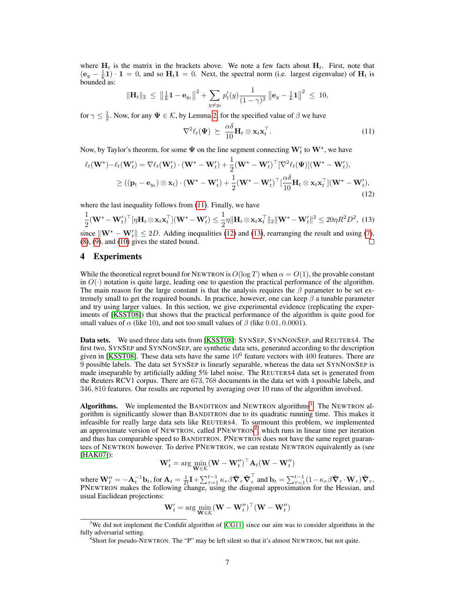where  $H_t$  is the matrix in the brackets above. We note a few facts about  $H_t$ . First, note that  $(e_y - \frac{1}{k}) \cdot 1 = 0$ , and so  $H_t 1 = 0$ . Next, the spectral norm (i.e. largest eigenvalue) of  $H_t$  is bounded as:

$$
\|\mathbf{H}_t\|_2 \ \leq \ \left\|\tfrac{1}{k}\mathbf{1} - \mathbf{e}_{y_t}\right\|^2 + \sum_{y \neq y_t} p'_t(y) \frac{1}{(1-\gamma)^2} \left\|\mathbf{e}_y - \tfrac{1}{k}\mathbf{1}\right\|^2 \ \leq \ 10,
$$

for  $\gamma \leq \frac{1}{2}$ . Now, for any  $\Psi \in \mathcal{K}$ , by Lemma 2, for the specified value of  $\beta$  we have

$$
\nabla^2 \ell_t(\boldsymbol{\Psi}) \succeq \frac{\alpha \delta}{10} \mathbf{H}_t \otimes \mathbf{x}_t \mathbf{x}_t^\top. \tag{11}
$$

Now, by Taylor's theorem, for some  $\Psi$  on the line segment connecting  $\mathbf{W}'_t$  to  $\mathbf{W}^\star$ , we have

$$
\ell_t(\mathbf{W}^*) - \ell_t(\mathbf{W}'_t) = \nabla \ell_t(\mathbf{W}'_t) \cdot (\mathbf{W}^* - \mathbf{W}'_t) + \frac{1}{2} (\mathbf{W}^* - \mathbf{W}'_t)^{\top} [\nabla^2 \ell_t(\boldsymbol{\Psi})] (\mathbf{W}^* - \mathbf{W}'_t),
$$
  
\n
$$
\geq ((\mathbf{p}_t - \mathbf{e}_{y_t}) \otimes \mathbf{x}_t) \cdot (\mathbf{W}^* - \mathbf{W}'_t) + \frac{1}{2} (\mathbf{W}^* - \mathbf{W}'_t)^{\top} [\frac{\alpha \delta}{10} \mathbf{H}_t \otimes \mathbf{x}_t \mathbf{x}_t^{\top}] (\mathbf{W}^* - \mathbf{W}'_t),
$$
\n(12)

where the last inequality follows from (11). Finally, we have

$$
\frac{1}{2}(\mathbf{W}^{\star} - \mathbf{W}_{t}')^{\top}[\eta \mathbf{H}_{t} \otimes \mathbf{x}_{t} \mathbf{x}_{t}^{\top}] (\mathbf{W}^{\star} - \mathbf{W}_{t}') \leq \frac{1}{2} \eta \|\mathbf{H}_{t} \otimes \mathbf{x}_{t} \mathbf{x}_{t}^{\top}\|_{2} \|\mathbf{W}^{\star} - \mathbf{W}_{t}'\|^{2} \leq 20 \eta R^{2} D^{2},
$$
(13)

since  $\|\mathbf{W}^* - \mathbf{W}_t'\| \le 2D$ . Adding inequalities (12) and (13), rearranging the result and using (7),  $(8)$ ,  $(9)$ , and  $(10)$  gives the stated bound.

## 4 Experiments

While the theoretical regret bound for NEWTRON is  $O(\log T)$  when  $\alpha = O(1)$ , the provable constant in  $O(\cdot)$  notation is quite large, leading one to question the practical performance of the algorithm. The main reason for the large constant is that the analysis requires the  $\beta$  parameter to be set extremely small to get the required bounds. In practice, however, one can keep  $\beta$  a tunable parameter and try using larger values. In this section, we give experimental evidence (replicating the experiments of [KSST08]) that shows that the practical performance of the algorithm is quite good for small values of  $\alpha$  (like 10), and not too small values of  $\beta$  (like 0.01, 0.0001).

Data sets. We used three data sets from [KSST08]: SYNSEP, SYNNONSEP, and REUTERS4. The first two, SYNSEP and SYNNONSEP, are synthetic data sets, generated according to the description given in [KSST08]. These data sets have the same  $10^6$  feature vectors with  $400$  features. There are 9 possible labels. The data set SYNSEP is linearly separable, whereas the data set SYNNONSEP is made inseparable by artificially adding 5% label noise. The REUTERS4 data set is generated from the Reuters RCV1 corpus. There are 673, 768 documents in the data set with 4 possible labels, and 346, 810 features. Our results are reported by averaging over 10 runs of the algorithm involved.

Algorithms. We implemented the BANDITRON and NEWTRON algorithms<sup>3</sup>. The NEWTRON algorithm is significantly slower than BANDITRON due to its quadratic running time. This makes it infeasible for really large data sets like REUTERS4. To surmount this problem, we implemented an approximate version of NEWTRON, called PNEWTRON<sup>4</sup>, which runs in linear time per iteration and thus has comparable speed to BANDITRON. PNEWTRON does not have the same regret guarantees of NEWTRON however. To derive PNEWTRON, we can restate NEWTRON equivalently as (see [HAK07]):

$$
\mathbf{W}'_t = \arg\min_{\mathbf{W}\in\mathcal{K}} (\mathbf{W} - \mathbf{W}''_t)^\top \mathbf{A}_t (\mathbf{W} - \mathbf{W}''_t)
$$

where  $\mathbf{W}'_t = -\mathbf{A}_t^{-1} \mathbf{b}_t$ , for  $\mathbf{A}_t = \frac{1}{D} \mathbf{I} + \sum_{\tau=1}^{t-1} \kappa_\tau \beta \tilde{\boldsymbol{\nabla}}_\tau \tilde{\boldsymbol{\nabla}}_\tau^\top$  $\sigma_{\tau}^{\dagger}$  and  $\mathbf{b}_t = \sum_{\tau=1}^{t-1} (1 - \kappa_{\tau} \beta \tilde{\mathbf{\nabla}}_{\tau} \cdot \mathbf{W}_{\tau}) \tilde{\mathbf{\nabla}}_{\tau}.$ PNEWTRON makes the following change, using the diagonal approximation for the Hessian, and usual Euclidean projections:

$$
\mathbf{W}'_t = \arg\min_{\mathbf{W}\in\mathcal{K}} (\mathbf{W} - \mathbf{W}''_t)^\top (\mathbf{W} - \mathbf{W}''_t)
$$

<sup>&</sup>lt;sup>3</sup>We did not implement the Confidit algorithm of  $[CG11]$  since our aim was to consider algorithms in the fully adversarial setting.

<sup>&</sup>lt;sup>4</sup>Short for pseudo-NEWTRON. The "P" may be left silent so that it's almost NEWTRON, but not quite.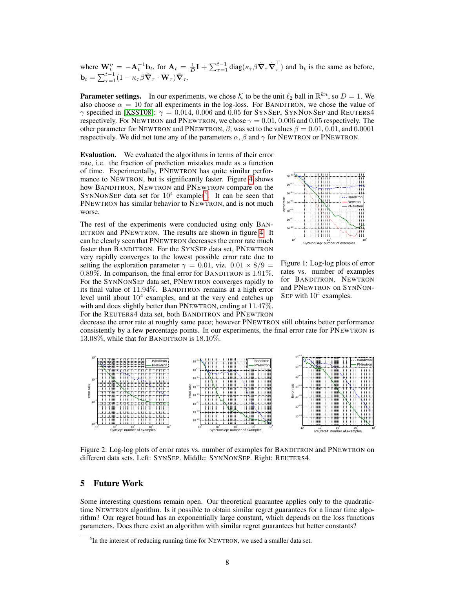where  $\mathbf{W}_{t}^{\prime\prime} = -\mathbf{A}_{t}^{-1}\mathbf{b}_{t}$ , for  $\mathbf{A}_{t} = \frac{1}{D}\mathbf{I} + \sum_{\tau=1}^{t-1} \text{diag}(\kappa_{\tau}\beta\tilde{\boldsymbol{\nabla}}_{\tau}\tilde{\boldsymbol{\nabla}}_{\tau}^{\top}$  $_{\tau}$ ) and  $\mathbf{b}_t$  is the same as before,  $\mathbf{b}_t = \sum_{\tau=1}^{t-1} (1 - \kappa_\tau \beta \tilde{\boldsymbol{\nabla}}_\tau \cdot \mathbf{W}_\tau) \tilde{\boldsymbol{\nabla}}_\tau.$ 

**Parameter settings.** In our experiments, we chose K to be the unit  $\ell_2$  ball in  $\mathbb{R}^{kn}$ , so  $D = 1$ . We also choose  $\alpha = 10$  for all experiments in the log-loss. For BANDITRON, we chose the value of  $\gamma$  specified in [KSST08]:  $\gamma = 0.014$ , 0.006 and 0.05 for SYNSEP, SYNNONSEP and REUTERS4 respectively. For NEWTRON and PNEWTRON, we chose  $\gamma = 0.01, 0.006$  and 0.05 respectively. The other parameter for NEWTRON and PNEWTRON,  $\beta$ , was set to the values  $\beta = 0.01, 0.01,$  and 0.0001 respectively. We did not tune any of the parameters  $\alpha$ ,  $\beta$  and  $\gamma$  for NEWTRON or PNEWTRON.

Evaluation. We evaluated the algorithms in terms of their error rate, i.e. the fraction of prediction mistakes made as a function of time. Experimentally, PNEWTRON has quite similar performance to NEWTRON, but is significantly faster. Figure 4 shows how BANDITRON, NEWTRON and PNEWTRON compare on the SYNNONSEP data set for  $10^4$  examples<sup>5</sup>. It can be seen that PNEWTRON has similar behavior to NEWTRON, and is not much worse.

The rest of the experiments were conducted using only BAN-DITRON and PNEWTRON. The results are shown in figure 4. It can be clearly seen that PNEWTRON decreases the error rate much faster than BANDITRON. For the SYNSEP data set, PNEWTRON very rapidly converges to the lowest possible error rate due to setting the exploration parameter  $\gamma = 0.01$ , viz.  $0.01 \times 8/9$  = 0.89%. In comparison, the final error for BANDITRON is 1.91%. For the SYNNONSEP data set, PNEWTRON converges rapidly to its final value of 11.94%. BANDITRON remains at a high error level until about  $10<sup>4</sup>$  examples, and at the very end catches up with and does slightly better than PNEWTRON, ending at 11.47%. For the REUTERS4 data set, both BANDITRON and PNEWTRON



Figure 1: Log-log plots of error rates vs. number of examples for BANDITRON, NEWTRON and PNEWTRON on SYNNON-SEP with  $10^4$  examples.

decrease the error rate at roughly same pace; however PNEWTRON still obtains better performance consistently by a few percentage points. In our experiments, the final error rate for PNEWTRON is 13.08%, while that for BANDITRON is 18.10%.



Figure 2: Log-log plots of error rates vs. number of examples for BANDITRON and PNEWTRON on different data sets. Left: SYNSEP. Middle: SYNNONSEP. Right: REUTERS4.

## 5 Future Work

Some interesting questions remain open. Our theoretical guarantee applies only to the quadratictime NEWTRON algorithm. Is it possible to obtain similar regret guarantees for a linear time algorithm? Our regret bound has an exponentially large constant, which depends on the loss functions parameters. Does there exist an algorithm with similar regret guarantees but better constants?

<sup>&</sup>lt;sup>5</sup>In the interest of reducing running time for NEWTRON, we used a smaller data set.